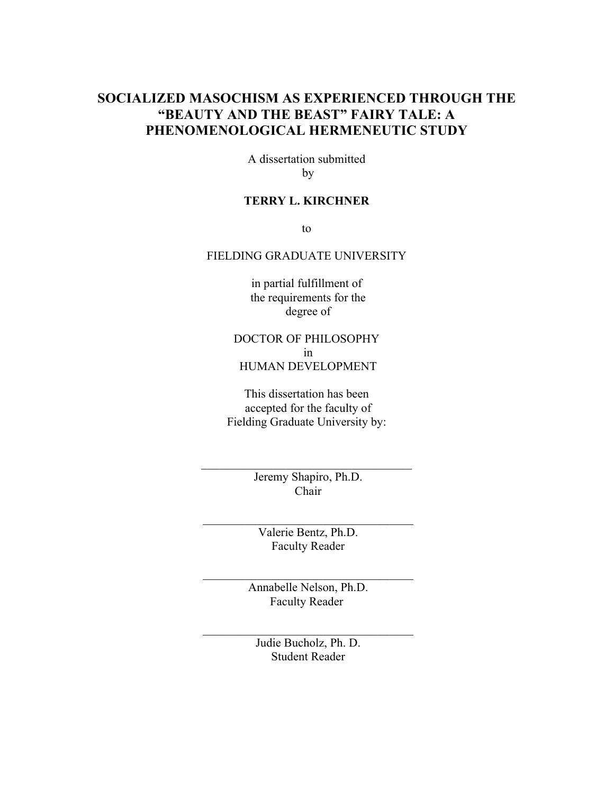## **SOCIALIZED MASOCHISM AS EXPERIENCED THROUGH THE "BEAUTY AND THE BEAST" FAIRY TALE: A PHENOMENOLOGICAL HERMENEUTIC STUDY**

A dissertation submitted by

## **TERRY L. KIRCHNER**

to

### FIELDING GRADUATE UNIVERSITY

in partial fulfillment of the requirements for the degree of

## DOCTOR OF PHILOSOPHY in HUMAN DEVELOPMENT

This dissertation has been accepted for the faculty of Fielding Graduate University by:

> Jeremy Shapiro, Ph.D. Chair

\_\_\_\_\_\_\_\_\_\_\_\_\_\_\_\_\_\_\_\_\_\_\_\_\_\_\_\_\_\_\_\_\_\_\_

Valerie Bentz, Ph.D. Faculty Reader

 $\mathcal{L}_\text{max}$ 

Annabelle Nelson, Ph.D. Faculty Reader

\_\_\_\_\_\_\_\_\_\_\_\_\_\_\_\_\_\_\_\_\_\_\_\_\_\_\_\_\_\_\_\_\_\_\_

Judie Bucholz, Ph. D. Student Reader

\_\_\_\_\_\_\_\_\_\_\_\_\_\_\_\_\_\_\_\_\_\_\_\_\_\_\_\_\_\_\_\_\_\_\_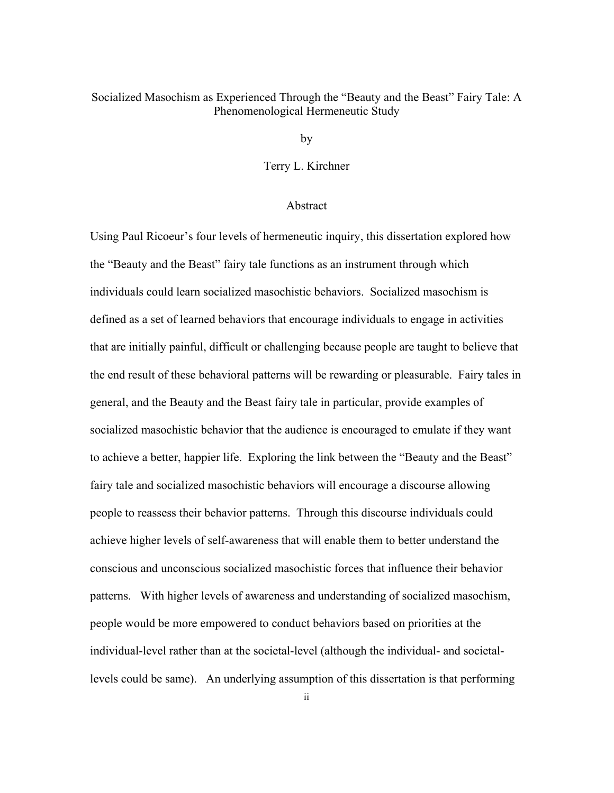## Socialized Masochism as Experienced Through the "Beauty and the Beast" Fairy Tale: A Phenomenological Hermeneutic Study

by

Terry L. Kirchner

#### Abstract

Using Paul Ricoeur's four levels of hermeneutic inquiry, this dissertation explored how the "Beauty and the Beast" fairy tale functions as an instrument through which individuals could learn socialized masochistic behaviors. Socialized masochism is defined as a set of learned behaviors that encourage individuals to engage in activities that are initially painful, difficult or challenging because people are taught to believe that the end result of these behavioral patterns will be rewarding or pleasurable. Fairy tales in general, and the Beauty and the Beast fairy tale in particular, provide examples of socialized masochistic behavior that the audience is encouraged to emulate if they want to achieve a better, happier life. Exploring the link between the "Beauty and the Beast" fairy tale and socialized masochistic behaviors will encourage a discourse allowing people to reassess their behavior patterns. Through this discourse individuals could achieve higher levels of self-awareness that will enable them to better understand the conscious and unconscious socialized masochistic forces that influence their behavior patterns. With higher levels of awareness and understanding of socialized masochism, people would be more empowered to conduct behaviors based on priorities at the individual-level rather than at the societal-level (although the individual- and societallevels could be same). An underlying assumption of this dissertation is that performing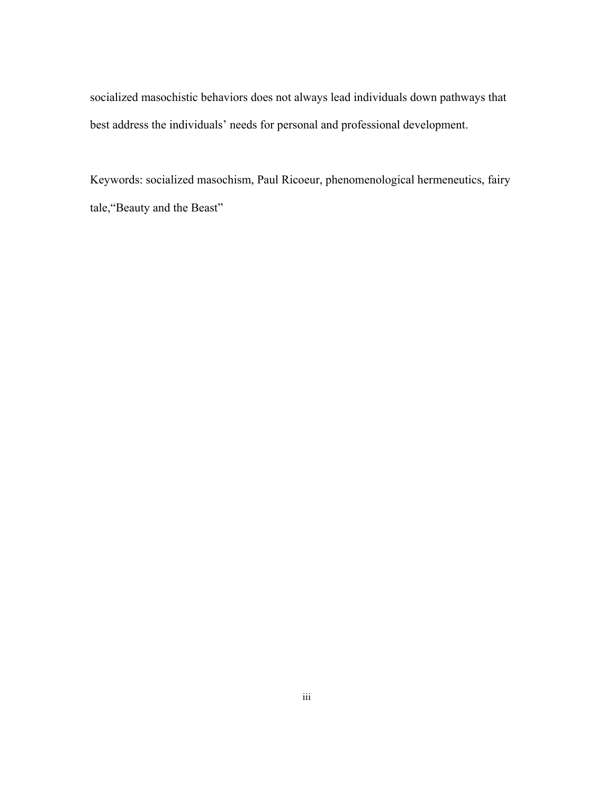socialized masochistic behaviors does not always lead individuals down pathways that best address the individuals' needs for personal and professional development.

Keywords: socialized masochism, Paul Ricoeur, phenomenological hermeneutics, fairy tale,"Beauty and the Beast"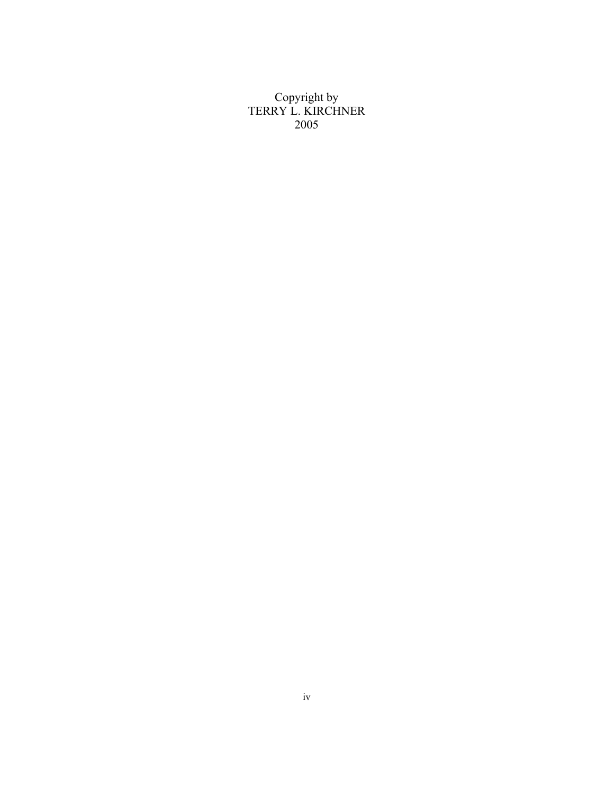Copyright by TERRY L. KIRCHNER 2005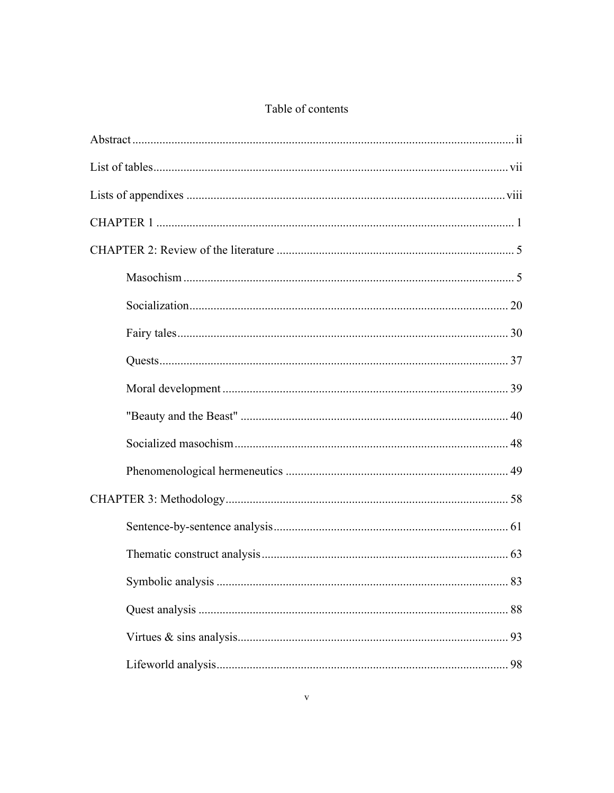## Table of contents

| 93 |
|----|
| 98 |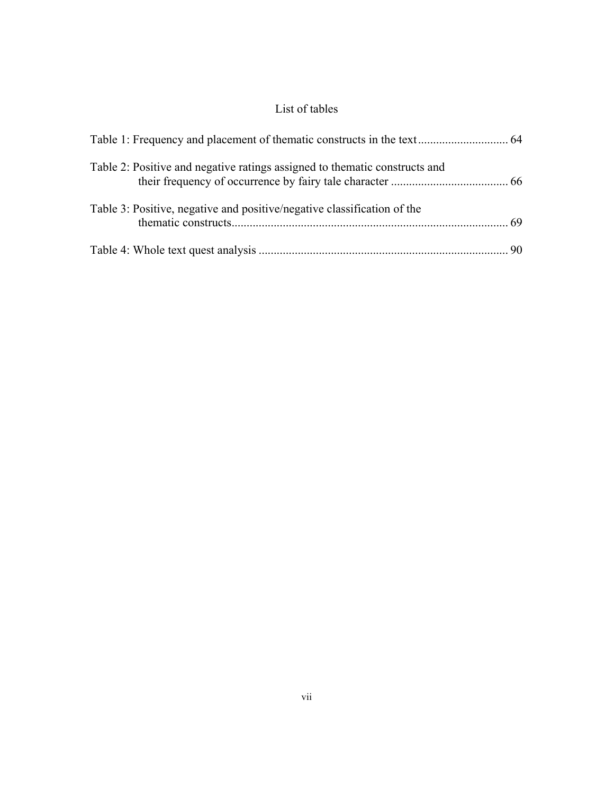# List of tables

| Table 2: Positive and negative ratings assigned to the matic constructs and |  |
|-----------------------------------------------------------------------------|--|
| Table 3: Positive, negative and positive/negative classification of the     |  |
|                                                                             |  |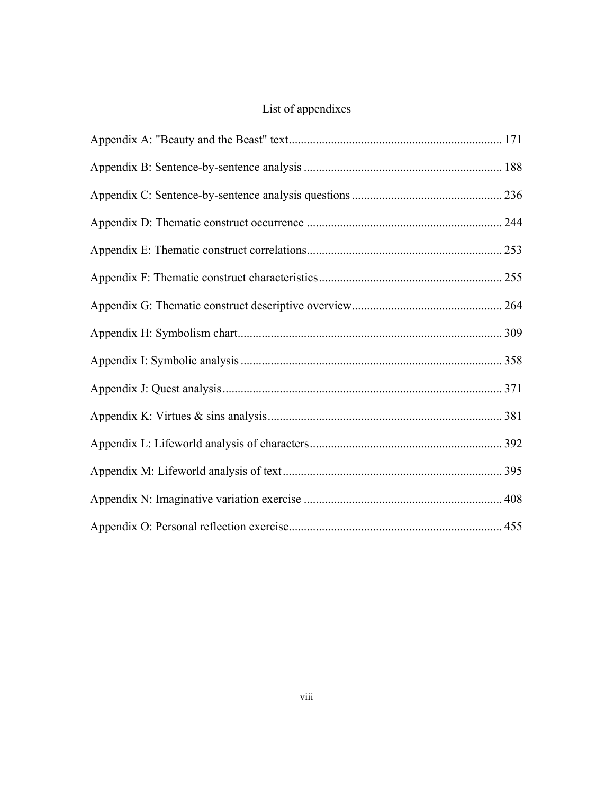# List of appendixes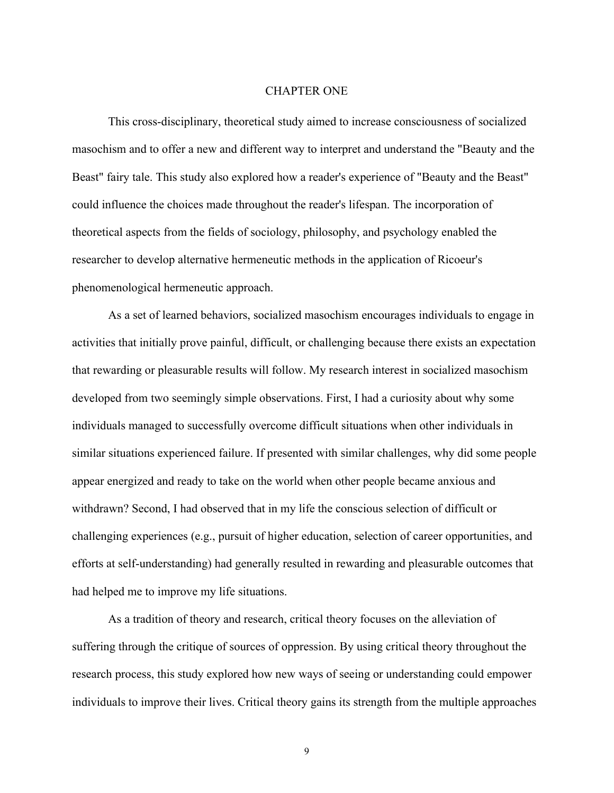#### CHAPTER ONE

This cross-disciplinary, theoretical study aimed to increase consciousness of socialized masochism and to offer a new and different way to interpret and understand the "Beauty and the Beast" fairy tale. This study also explored how a reader's experience of "Beauty and the Beast" could influence the choices made throughout the reader's lifespan. The incorporation of theoretical aspects from the fields of sociology, philosophy, and psychology enabled the researcher to develop alternative hermeneutic methods in the application of Ricoeur's phenomenological hermeneutic approach.

As a set of learned behaviors, socialized masochism encourages individuals to engage in activities that initially prove painful, difficult, or challenging because there exists an expectation that rewarding or pleasurable results will follow. My research interest in socialized masochism developed from two seemingly simple observations. First, I had a curiosity about why some individuals managed to successfully overcome difficult situations when other individuals in similar situations experienced failure. If presented with similar challenges, why did some people appear energized and ready to take on the world when other people became anxious and withdrawn? Second, I had observed that in my life the conscious selection of difficult or challenging experiences (e.g., pursuit of higher education, selection of career opportunities, and efforts at self-understanding) had generally resulted in rewarding and pleasurable outcomes that had helped me to improve my life situations.

As a tradition of theory and research, critical theory focuses on the alleviation of suffering through the critique of sources of oppression. By using critical theory throughout the research process, this study explored how new ways of seeing or understanding could empower individuals to improve their lives. Critical theory gains its strength from the multiple approaches

9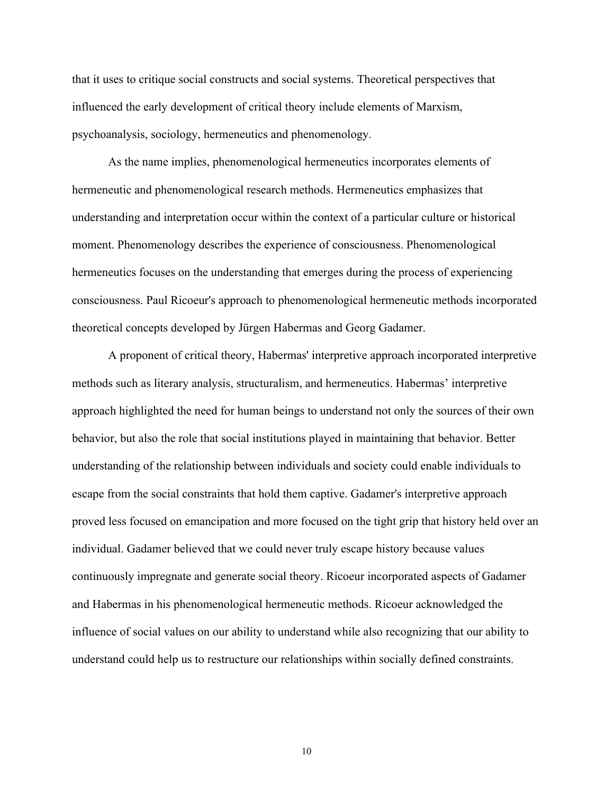that it uses to critique social constructs and social systems. Theoretical perspectives that influenced the early development of critical theory include elements of Marxism, psychoanalysis, sociology, hermeneutics and phenomenology.

As the name implies, phenomenological hermeneutics incorporates elements of hermeneutic and phenomenological research methods. Hermeneutics emphasizes that understanding and interpretation occur within the context of a particular culture or historical moment. Phenomenology describes the experience of consciousness. Phenomenological hermeneutics focuses on the understanding that emerges during the process of experiencing consciousness. Paul Ricoeur's approach to phenomenological hermeneutic methods incorporated theoretical concepts developed by Jürgen Habermas and Georg Gadamer.

A proponent of critical theory, Habermas' interpretive approach incorporated interpretive methods such as literary analysis, structuralism, and hermeneutics. Habermas' interpretive approach highlighted the need for human beings to understand not only the sources of their own behavior, but also the role that social institutions played in maintaining that behavior. Better understanding of the relationship between individuals and society could enable individuals to escape from the social constraints that hold them captive. Gadamer's interpretive approach proved less focused on emancipation and more focused on the tight grip that history held over an individual. Gadamer believed that we could never truly escape history because values continuously impregnate and generate social theory. Ricoeur incorporated aspects of Gadamer and Habermas in his phenomenological hermeneutic methods. Ricoeur acknowledged the influence of social values on our ability to understand while also recognizing that our ability to understand could help us to restructure our relationships within socially defined constraints.

10